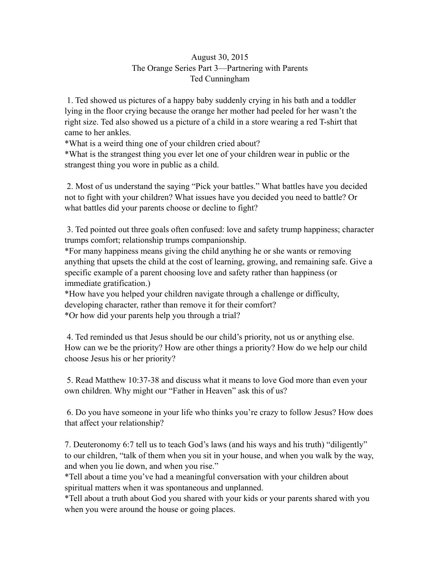## August 30, 2015 The Orange Series Part 3—Partnering with Parents Ted Cunningham

 1. Ted showed us pictures of a happy baby suddenly crying in his bath and a toddler lying in the floor crying because the orange her mother had peeled for her wasn't the right size. Ted also showed us a picture of a child in a store wearing a red T-shirt that came to her ankles.

\*What is a weird thing one of your children cried about?

\*What is the strangest thing you ever let one of your children wear in public or the strangest thing you wore in public as a child.

 2. Most of us understand the saying "Pick your battles." What battles have you decided not to fight with your children? What issues have you decided you need to battle? Or what battles did your parents choose or decline to fight?

 3. Ted pointed out three goals often confused: love and safety trump happiness; character trumps comfort; relationship trumps companionship.

\*For many happiness means giving the child anything he or she wants or removing anything that upsets the child at the cost of learning, growing, and remaining safe. Give a specific example of a parent choosing love and safety rather than happiness (or immediate gratification.)

\*How have you helped your children navigate through a challenge or difficulty, developing character, rather than remove it for their comfort? \*Or how did your parents help you through a trial?

 4. Ted reminded us that Jesus should be our child's priority, not us or anything else. How can we be the priority? How are other things a priority? How do we help our child choose Jesus his or her priority?

 5. Read Matthew 10:37-38 and discuss what it means to love God more than even your own children. Why might our "Father in Heaven" ask this of us?

 6. Do you have someone in your life who thinks you're crazy to follow Jesus? How does that affect your relationship?

7. Deuteronomy 6:7 tell us to teach God's laws (and his ways and his truth) "diligently" to our children, "talk of them when you sit in your house, and when you walk by the way, and when you lie down, and when you rise."

\*Tell about a time you've had a meaningful conversation with your children about spiritual matters when it was spontaneous and unplanned.

\*Tell about a truth about God you shared with your kids or your parents shared with you when you were around the house or going places.